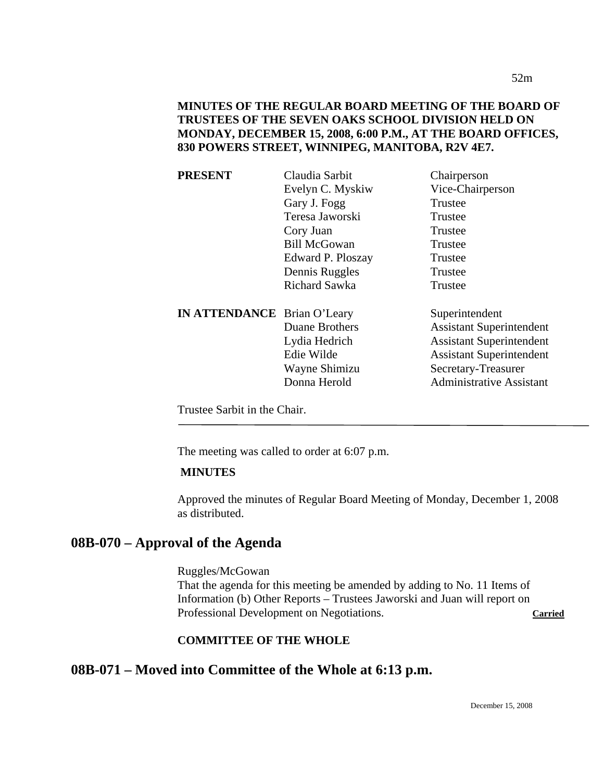| <b>PRESENT</b>                     | Claudia Sarbit       | Chairperson                     |
|------------------------------------|----------------------|---------------------------------|
|                                    | Evelyn C. Myskiw     | Vice-Chairperson                |
|                                    | Gary J. Fogg         | Trustee                         |
|                                    | Teresa Jaworski      | Trustee                         |
|                                    | Cory Juan            | Trustee                         |
|                                    | <b>Bill McGowan</b>  | Trustee                         |
|                                    | Edward P. Ploszay    | Trustee                         |
|                                    | Dennis Ruggles       | Trustee                         |
|                                    | <b>Richard Sawka</b> | Trustee                         |
| <b>IN ATTENDANCE</b> Brian O'Leary |                      | Superintendent                  |
|                                    | Duane Brothers       | <b>Assistant Superintendent</b> |
|                                    | Lydia Hedrich        | <b>Assistant Superintendent</b> |
|                                    | Edie Wilde           | <b>Assistant Superintendent</b> |
|                                    | Wayne Shimizu        | Secretary-Treasurer             |
|                                    | Donna Herold         | <b>Administrative Assistant</b> |
|                                    |                      |                                 |

Trustee Sarbit in the Chair.

The meeting was called to order at 6:07 p.m.

## **MINUTES**

Approved the minutes of Regular Board Meeting of Monday, December 1, 2008 as distributed.

# **08B-070 – Approval of the Agenda**

Ruggles/McGowan That the agenda for this meeting be amended by adding to No. 11 Items of Information (b) Other Reports – Trustees Jaworski and Juan will report on Professional Development on Negotiations. **Carried**

# **COMMITTEE OF THE WHOLE**

# **08B-071 – Moved into Committee of the Whole at 6:13 p.m.**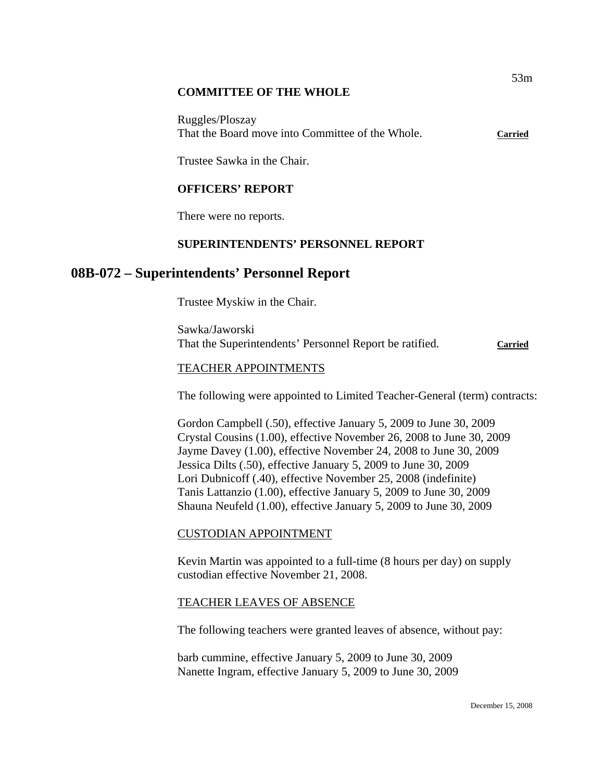### **COMMITTEE OF THE WHOLE**

Ruggles/Ploszay That the Board move into Committee of the Whole. **Carried**

Trustee Sawka in the Chair.

## **OFFICERS' REPORT**

There were no reports.

## **SUPERINTENDENTS' PERSONNEL REPORT**

# **08B-072 – Superintendents' Personnel Report**

Trustee Myskiw in the Chair.

Sawka/Jaworski That the Superintendents' Personnel Report be ratified. **Carried**

## TEACHER APPOINTMENTS

The following were appointed to Limited Teacher-General (term) contracts:

Gordon Campbell (.50), effective January 5, 2009 to June 30, 2009 Crystal Cousins (1.00), effective November 26, 2008 to June 30, 2009 Jayme Davey (1.00), effective November 24, 2008 to June 30, 2009 Jessica Dilts (.50), effective January 5, 2009 to June 30, 2009 Lori Dubnicoff (.40), effective November 25, 2008 (indefinite) Tanis Lattanzio (1.00), effective January 5, 2009 to June 30, 2009 Shauna Neufeld (1.00), effective January 5, 2009 to June 30, 2009

## CUSTODIAN APPOINTMENT

Kevin Martin was appointed to a full-time (8 hours per day) on supply custodian effective November 21, 2008.

## TEACHER LEAVES OF ABSENCE

The following teachers were granted leaves of absence, without pay:

barb cummine, effective January 5, 2009 to June 30, 2009 Nanette Ingram, effective January 5, 2009 to June 30, 2009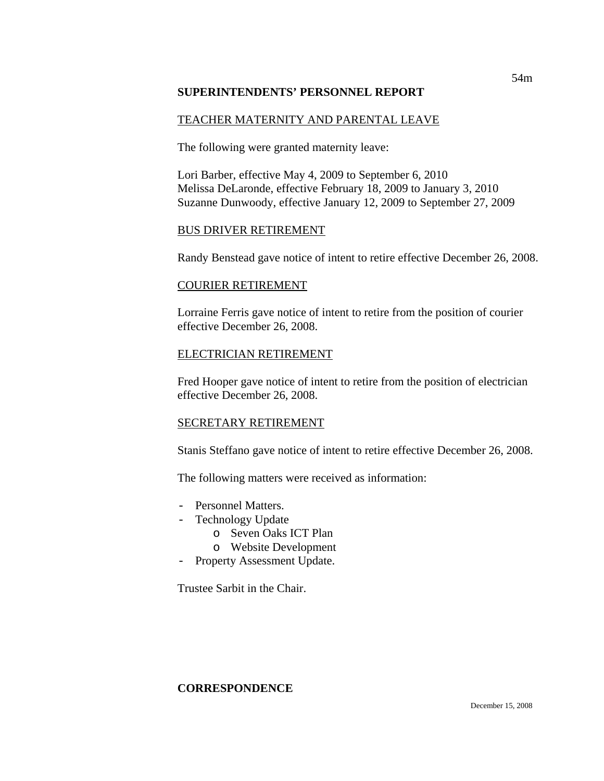## **SUPERINTENDENTS' PERSONNEL REPORT**

# TEACHER MATERNITY AND PARENTAL LEAVE

The following were granted maternity leave:

Lori Barber, effective May 4, 2009 to September 6, 2010 Melissa DeLaronde, effective February 18, 2009 to January 3, 2010 Suzanne Dunwoody, effective January 12, 2009 to September 27, 2009

## BUS DRIVER RETIREMENT

Randy Benstead gave notice of intent to retire effective December 26, 2008.

## COURIER RETIREMENT

Lorraine Ferris gave notice of intent to retire from the position of courier effective December 26, 2008.

## ELECTRICIAN RETIREMENT

Fred Hooper gave notice of intent to retire from the position of electrician effective December 26, 2008.

# SECRETARY RETIREMENT

Stanis Steffano gave notice of intent to retire effective December 26, 2008.

The following matters were received as information:

- Personnel Matters.
- Technology Update
	- o Seven Oaks ICT Plan
	- o Website Development
- Property Assessment Update.

Trustee Sarbit in the Chair.

# **CORRESPONDENCE**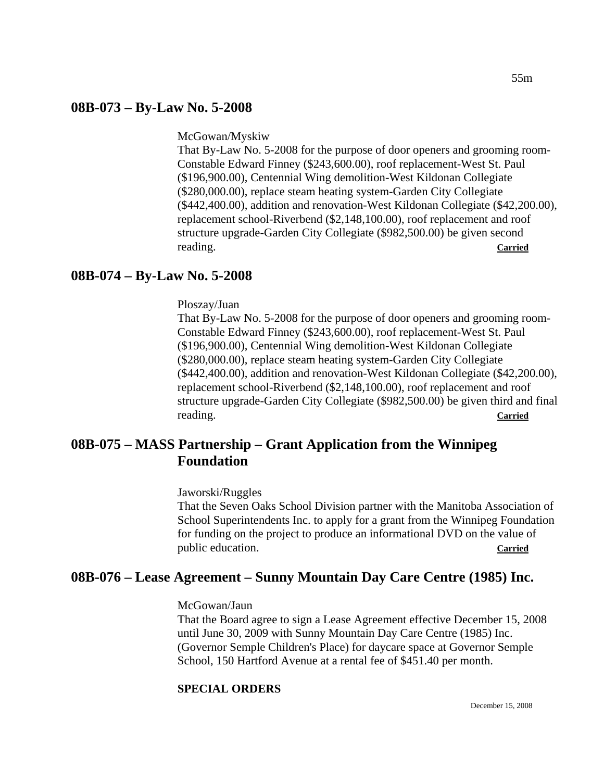## **08B-073 – By-Law No. 5-2008**

McGowan/Myskiw

That By-Law No. 5-2008 for the purpose of door openers and grooming room-Constable Edward Finney (\$243,600.00), roof replacement-West St. Paul (\$196,900.00), Centennial Wing demolition-West Kildonan Collegiate (\$280,000.00), replace steam heating system-Garden City Collegiate (\$442,400.00), addition and renovation-West Kildonan Collegiate (\$42,200.00), replacement school-Riverbend (\$2,148,100.00), roof replacement and roof structure upgrade-Garden City Collegiate (\$982,500.00) be given second reading. **Carried**

## **08B-074 – By-Law No. 5-2008**

Ploszay/Juan

That By-Law No. 5-2008 for the purpose of door openers and grooming room-Constable Edward Finney (\$243,600.00), roof replacement-West St. Paul (\$196,900.00), Centennial Wing demolition-West Kildonan Collegiate (\$280,000.00), replace steam heating system-Garden City Collegiate (\$442,400.00), addition and renovation-West Kildonan Collegiate (\$42,200.00), replacement school-Riverbend (\$2,148,100.00), roof replacement and roof structure upgrade-Garden City Collegiate (\$982,500.00) be given third and final reading. **Carried**

# **08B-075 – MASS Partnership – Grant Application from the Winnipeg Foundation**

Jaworski/Ruggles

That the Seven Oaks School Division partner with the Manitoba Association of School Superintendents Inc. to apply for a grant from the Winnipeg Foundation for funding on the project to produce an informational DVD on the value of public education. **Carried**

# **08B-076 – Lease Agreement – Sunny Mountain Day Care Centre (1985) Inc.**

#### McGowan/Jaun

That the Board agree to sign a Lease Agreement effective December 15, 2008 until June 30, 2009 with Sunny Mountain Day Care Centre (1985) Inc. (Governor Semple Children's Place) for daycare space at Governor Semple School, 150 Hartford Avenue at a rental fee of \$451.40 per month.

## **SPECIAL ORDERS**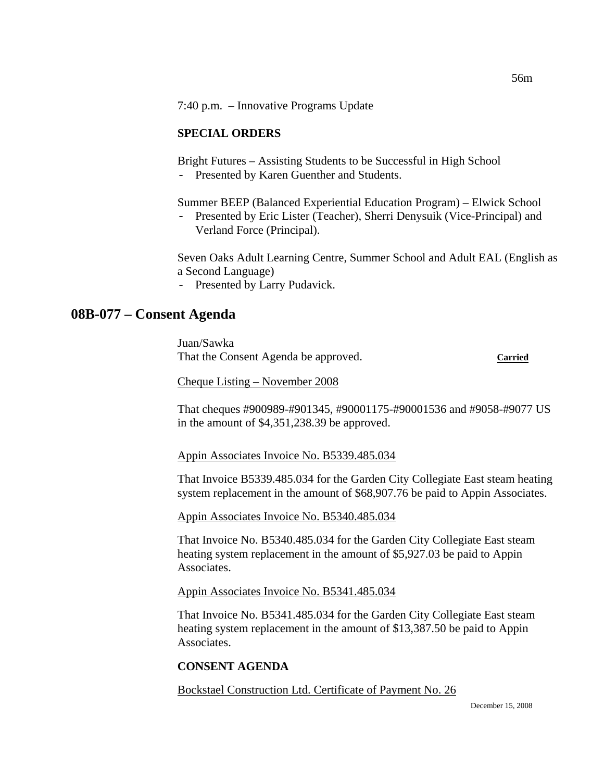7:40 p.m. – Innovative Programs Update

### **SPECIAL ORDERS**

Bright Futures – Assisting Students to be Successful in High School

- Presented by Karen Guenther and Students.

Summer BEEP (Balanced Experiential Education Program) – Elwick School

Presented by Eric Lister (Teacher), Sherri Denysuik (Vice-Principal) and Verland Force (Principal).

Seven Oaks Adult Learning Centre, Summer School and Adult EAL (English as a Second Language)

- Presented by Larry Pudavick.

# **08B-077 – Consent Agenda**

Juan/Sawka That the Consent Agenda be approved. **Carried**

Cheque Listing – November 2008

That cheques #900989-#901345, #90001175-#90001536 and #9058-#9077 US in the amount of \$4,351,238.39 be approved.

Appin Associates Invoice No. B5339.485.034

That Invoice B5339.485.034 for the Garden City Collegiate East steam heating system replacement in the amount of \$68,907.76 be paid to Appin Associates.

Appin Associates Invoice No. B5340.485.034

That Invoice No. B5340.485.034 for the Garden City Collegiate East steam heating system replacement in the amount of \$5,927.03 be paid to Appin Associates.

## Appin Associates Invoice No. B5341.485.034

That Invoice No. B5341.485.034 for the Garden City Collegiate East steam heating system replacement in the amount of \$13,387.50 be paid to Appin Associates.

# **CONSENT AGENDA**

Bockstael Construction Ltd. Certificate of Payment No. 26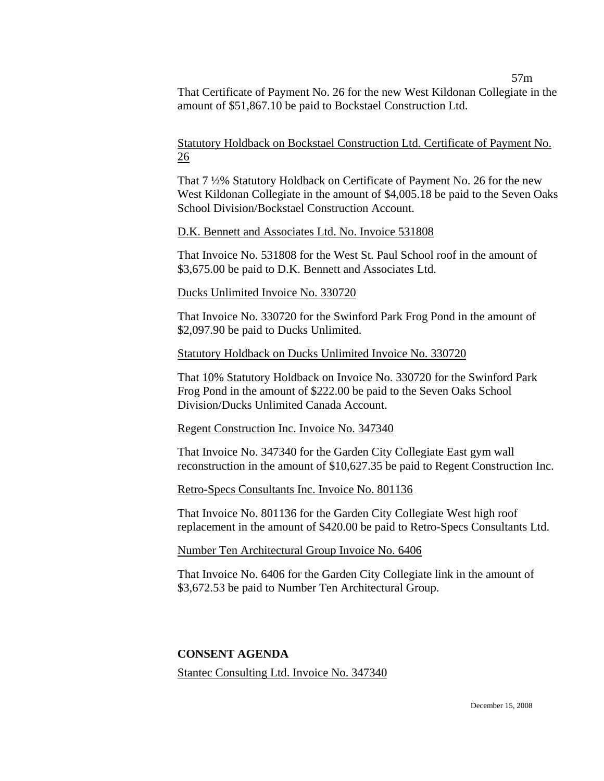57m

That Certificate of Payment No. 26 for the new West Kildonan Collegiate in the amount of \$51,867.10 be paid to Bockstael Construction Ltd.

Statutory Holdback on Bockstael Construction Ltd. Certificate of Payment No. 26

That 7 ½% Statutory Holdback on Certificate of Payment No. 26 for the new West Kildonan Collegiate in the amount of \$4,005.18 be paid to the Seven Oaks School Division/Bockstael Construction Account.

#### D.K. Bennett and Associates Ltd. No. Invoice 531808

That Invoice No. 531808 for the West St. Paul School roof in the amount of \$3,675.00 be paid to D.K. Bennett and Associates Ltd.

#### Ducks Unlimited Invoice No. 330720

That Invoice No. 330720 for the Swinford Park Frog Pond in the amount of \$2,097.90 be paid to Ducks Unlimited.

#### Statutory Holdback on Ducks Unlimited Invoice No. 330720

That 10% Statutory Holdback on Invoice No. 330720 for the Swinford Park Frog Pond in the amount of \$222.00 be paid to the Seven Oaks School Division/Ducks Unlimited Canada Account.

#### Regent Construction Inc. Invoice No. 347340

That Invoice No. 347340 for the Garden City Collegiate East gym wall reconstruction in the amount of \$10,627.35 be paid to Regent Construction Inc.

#### Retro-Specs Consultants Inc. Invoice No. 801136

That Invoice No. 801136 for the Garden City Collegiate West high roof replacement in the amount of \$420.00 be paid to Retro-Specs Consultants Ltd.

#### Number Ten Architectural Group Invoice No. 6406

That Invoice No. 6406 for the Garden City Collegiate link in the amount of \$3,672.53 be paid to Number Ten Architectural Group.

#### **CONSENT AGENDA**

Stantec Consulting Ltd. Invoice No. 347340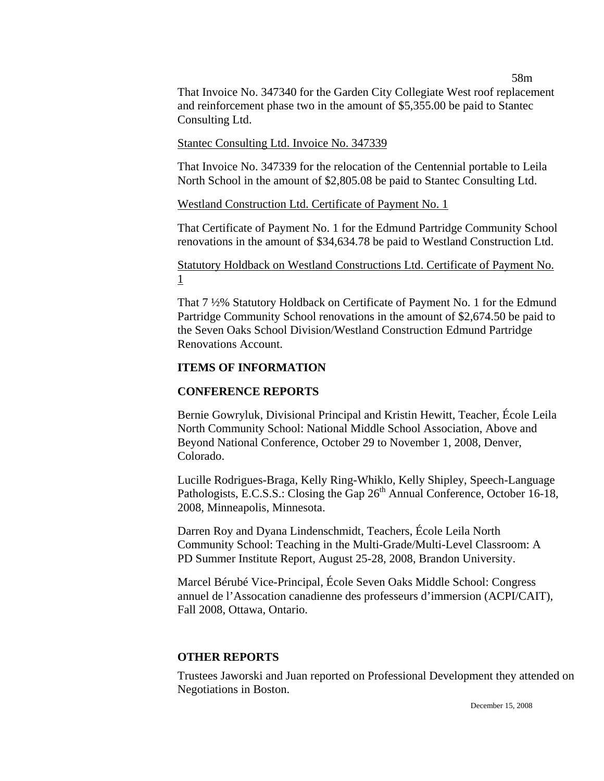58m

That Invoice No. 347340 for the Garden City Collegiate West roof replacement and reinforcement phase two in the amount of \$5,355.00 be paid to Stantec Consulting Ltd.

#### Stantec Consulting Ltd. Invoice No. 347339

That Invoice No. 347339 for the relocation of the Centennial portable to Leila North School in the amount of \$2,805.08 be paid to Stantec Consulting Ltd.

Westland Construction Ltd. Certificate of Payment No. 1

That Certificate of Payment No. 1 for the Edmund Partridge Community School renovations in the amount of \$34,634.78 be paid to Westland Construction Ltd.

Statutory Holdback on Westland Constructions Ltd. Certificate of Payment No. 1

That 7 ½% Statutory Holdback on Certificate of Payment No. 1 for the Edmund Partridge Community School renovations in the amount of \$2,674.50 be paid to the Seven Oaks School Division/Westland Construction Edmund Partridge Renovations Account.

#### **ITEMS OF INFORMATION**

#### **CONFERENCE REPORTS**

Bernie Gowryluk, Divisional Principal and Kristin Hewitt, Teacher, École Leila North Community School: National Middle School Association, Above and Beyond National Conference, October 29 to November 1, 2008, Denver, Colorado.

Lucille Rodrigues-Braga, Kelly Ring-Whiklo, Kelly Shipley, Speech-Language Pathologists, E.C.S.S.: Closing the Gap  $26<sup>th</sup>$  Annual Conference, October 16-18, 2008, Minneapolis, Minnesota.

Darren Roy and Dyana Lindenschmidt, Teachers, École Leila North Community School: Teaching in the Multi-Grade/Multi-Level Classroom: A PD Summer Institute Report, August 25-28, 2008, Brandon University.

Marcel Bérubé Vice-Principal, École Seven Oaks Middle School: Congress annuel de l'Assocation canadienne des professeurs d'immersion (ACPI/CAIT), Fall 2008, Ottawa, Ontario.

#### **OTHER REPORTS**

Trustees Jaworski and Juan reported on Professional Development they attended on Negotiations in Boston.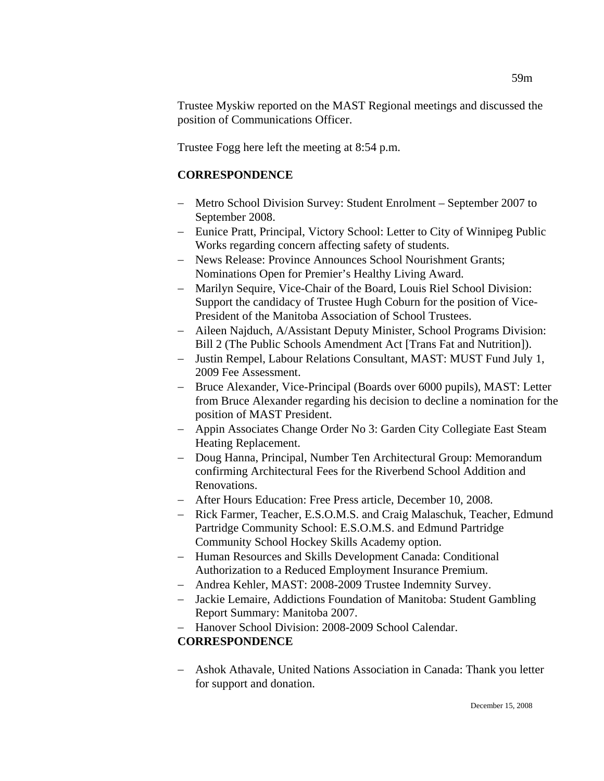Trustee Myskiw reported on the MAST Regional meetings and discussed the position of Communications Officer.

Trustee Fogg here left the meeting at 8:54 p.m.

# **CORRESPONDENCE**

- − Metro School Division Survey: Student Enrolment September 2007 to September 2008.
- − Eunice Pratt, Principal, Victory School: Letter to City of Winnipeg Public Works regarding concern affecting safety of students.
- − News Release: Province Announces School Nourishment Grants; Nominations Open for Premier's Healthy Living Award.
- − Marilyn Sequire, Vice-Chair of the Board, Louis Riel School Division: Support the candidacy of Trustee Hugh Coburn for the position of Vice-President of the Manitoba Association of School Trustees.
- − Aileen Najduch, A/Assistant Deputy Minister, School Programs Division: Bill 2 (The Public Schools Amendment Act [Trans Fat and Nutrition]).
- − Justin Rempel, Labour Relations Consultant, MAST: MUST Fund July 1, 2009 Fee Assessment.
- − Bruce Alexander, Vice-Principal (Boards over 6000 pupils), MAST: Letter from Bruce Alexander regarding his decision to decline a nomination for the position of MAST President.
- − Appin Associates Change Order No 3: Garden City Collegiate East Steam Heating Replacement.
- − Doug Hanna, Principal, Number Ten Architectural Group: Memorandum confirming Architectural Fees for the Riverbend School Addition and Renovations.
- − After Hours Education: Free Press article, December 10, 2008.
- − Rick Farmer, Teacher, E.S.O.M.S. and Craig Malaschuk, Teacher, Edmund Partridge Community School: E.S.O.M.S. and Edmund Partridge Community School Hockey Skills Academy option.
- − Human Resources and Skills Development Canada: Conditional Authorization to a Reduced Employment Insurance Premium.
- − Andrea Kehler, MAST: 2008-2009 Trustee Indemnity Survey.
- − Jackie Lemaire, Addictions Foundation of Manitoba: Student Gambling Report Summary: Manitoba 2007.
- − Hanover School Division: 2008-2009 School Calendar.

# **CORRESPONDENCE**

− Ashok Athavale, United Nations Association in Canada: Thank you letter for support and donation.